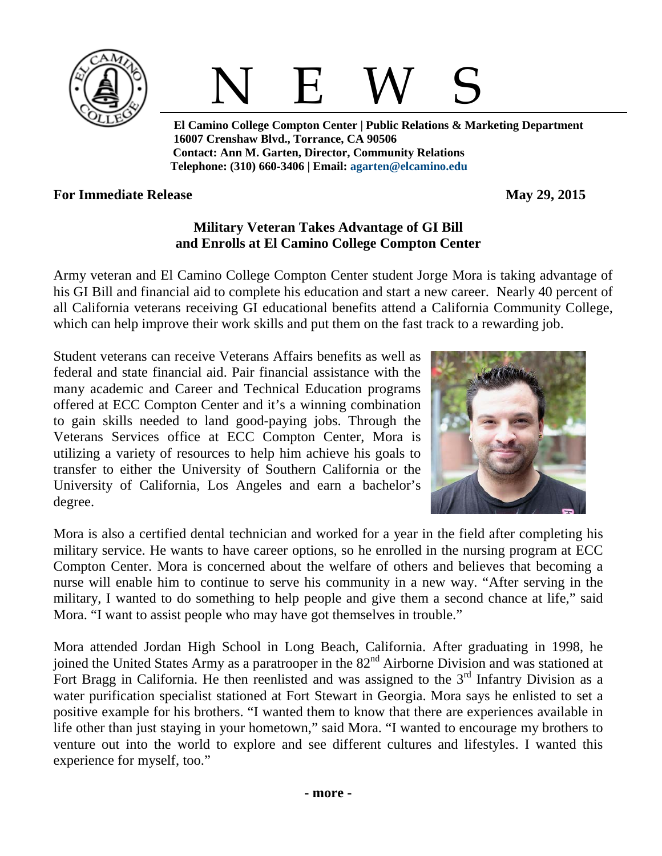

## N E W S

 **El Camino College Compton Center | Public Relations & Marketing Department 16007 Crenshaw Blvd., Torrance, CA 90506 Contact: Ann M. Garten, Director, Community Relations Telephone: (310) 660-3406 | Email: [agarten@elcamino.edu](mailto:agarten@elcamino.edu)** 

## **For Immediate Release May 29, 2015**

## **Military Veteran Takes Advantage of GI Bill and Enrolls at El Camino College Compton Center**

Army veteran and El Camino College Compton Center student Jorge Mora is taking advantage of his GI Bill and financial aid to complete his education and start a new career. Nearly 40 percent of all California veterans receiving GI educational benefits attend a California Community College, which can help improve their work skills and put them on the fast track to a rewarding job.

Student veterans can receive Veterans Affairs benefits as well as federal and state financial aid. Pair financial assistance with the many academic and Career and Technical Education programs offered at ECC Compton Center and it's a winning combination to gain skills needed to land good-paying jobs. Through the Veterans Services office at ECC Compton Center, Mora is utilizing a variety of resources to help him achieve his goals to transfer to either the University of Southern California or the University of California, Los Angeles and earn a bachelor's degree.



Mora is also a certified dental technician and worked for a year in the field after completing his military service. He wants to have career options, so he enrolled in the nursing program at ECC Compton Center. Mora is concerned about the welfare of others and believes that becoming a nurse will enable him to continue to serve his community in a new way. "After serving in the military, I wanted to do something to help people and give them a second chance at life," said Mora. "I want to assist people who may have got themselves in trouble."

Mora attended Jordan High School in Long Beach, California. After graduating in 1998, he joined the United States Army as a paratrooper in the 82<sup>nd</sup> Airborne Division and was stationed at Fort Bragg in California. He then reenlisted and was assigned to the  $3<sup>rd</sup>$  Infantry Division as a water purification specialist stationed at Fort Stewart in Georgia. Mora says he enlisted to set a positive example for his brothers. "I wanted them to know that there are experiences available in life other than just staying in your hometown," said Mora. "I wanted to encourage my brothers to venture out into the world to explore and see different cultures and lifestyles. I wanted this experience for myself, too."